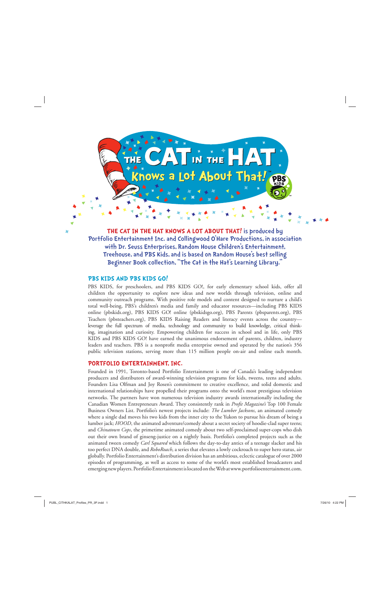

THE CAT IN THE HAT KNOWS A LOT ABOUT THAT! is produced by Portfolio Entertainment Inc. and Collingwood O'Hare Productions, in association with Dr. Seuss Enterprises, Random House Children's Entertainment, Treehouse, and PBS Kids, and is based on Random House's best selling Beginner Book collection, "The Cat in the Hat's Learning Library."

# **PBS KIDS AND PBS KIDS GO!**

PBS KIDS, for preschoolers, and PBS KIDS GO!, for early elementary school kids, offer all children the opportunity to explore new ideas and new worlds through television, online and community outreach programs. With positive role models and content designed to nurture a child's total well-being, PBS's children's media and family and educator resources—including PBS KIDS online (pbskids.org), PBS KIDS GO! online (pbskidsgo.org), PBS Parents (pbsparents.org), PBS Teachers (pbsteachers.org), PBS KIDS Raising Readers and literacy events across the country leverage the full spectrum of media, technology and community to build knowledge, critical thinking, imagination and curiosity. Empowering children for success in school and in life, only PBS KIDS and PBS KIDS GO! have earned the unanimous endorsement of parents, children, industry leaders and teachers. PBS is a nonprofit media enterprise owned and operated by the nation's 356 public television stations, serving more than 115 million people on-air and online each month.

# **PORTFOLIO ENTERTAINMENT, INC.**

Founded in 1991, Toronto-based Portfolio Entertainment is one of Canada's leading independent producers and distributors of award-winning television programs for kids, tweens, teens and adults. Founders Lisa Olfman and Joy Rosen's commitment to creative excellence, and solid domestic and international relationships have propelled their programs onto the world's most prestigious television networks. The partners have won numerous television industry awards internationally including the Canadian Women Entrepreneurs Award. They consistently rank in *Profit Magazine's* Top 100 Female Business Owners List. Portfolio's newest projects include: *The Lumber Jacksons*, an animated comedy where a single dad moves his two kids from the inner city to the Yukon to pursue his dream of being a lumber jack; *HOOD*, the animated adventure/comedy about a secret society of hoodie-clad super teens; and *Chinatown Cops*, the primetime animated comedy about two self-proclaimed super-cops who dish out their own brand of ginseng-justice on a nightly basis. Portfolio's completed projects such as the animated tween comedy *Carl Squared* which follows the day-to-day antics of a teenage slacker and his too perfect DNA double, and *RoboRoach*, a series that elevates a lowly cockroach to super hero status, air globally. Portfolio Entertainment's distribution division has an ambitious, eclectic catalogue of over 2000 episodes of programming, as well as access to some of the world's most established broadcasters and emerging new players. Portfolio Entertainment is located on the Web at www.portfolioentertainment.com.